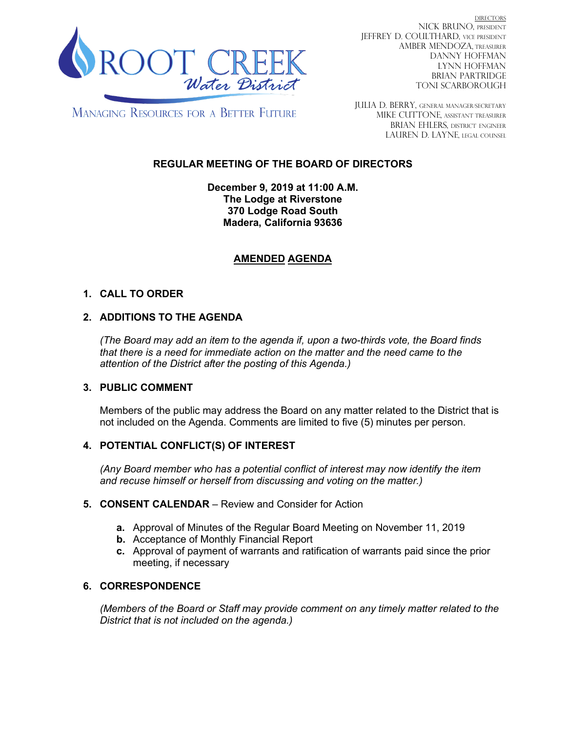

DIRECTORS NICK BRUNO, PRESIDENT JEFFREY D. COULTHARD, Vice President AMBER MENDOZA, TREASURER DANNY HOFFMAN LYNN HOFFMAN BRIAN PARTRIDGE TONI SCARBOROUGH

**MANAGING RESOURCES FOR A BETTER FUTURE** 

JULIA D. BERRY, GENERAL MANAGER/secretary MIKE CUTTONE, Assistant treasurer BRIAN EHLERS, DISTRICT ENGINEER LAUREN D. LAYNE, LEGAL COUNSEL

# **REGULAR MEETING OF THE BOARD OF DIRECTORS**

**December 9, 2019 at 11:00 A.M. The Lodge at Riverstone 370 Lodge Road South Madera, California 93636**

# **AMENDED AGENDA**

# **1. CALL TO ORDER**

# **2. ADDITIONS TO THE AGENDA**

*(The Board may add an item to the agenda if, upon a two-thirds vote, the Board finds that there is a need for immediate action on the matter and the need came to the attention of the District after the posting of this Agenda.)*

## **3. PUBLIC COMMENT**

Members of the public may address the Board on any matter related to the District that is not included on the Agenda. Comments are limited to five (5) minutes per person.

## **4. POTENTIAL CONFLICT(S) OF INTEREST**

*(Any Board member who has a potential conflict of interest may now identify the item and recuse himself or herself from discussing and voting on the matter.)*

#### **5. CONSENT CALENDAR** – Review and Consider for Action

- **a.** Approval of Minutes of the Regular Board Meeting on November 11, 2019
- **b.** Acceptance of Monthly Financial Report
- **c.** Approval of payment of warrants and ratification of warrants paid since the prior meeting, if necessary

## **6. CORRESPONDENCE**

*(Members of the Board or Staff may provide comment on any timely matter related to the District that is not included on the agenda.)*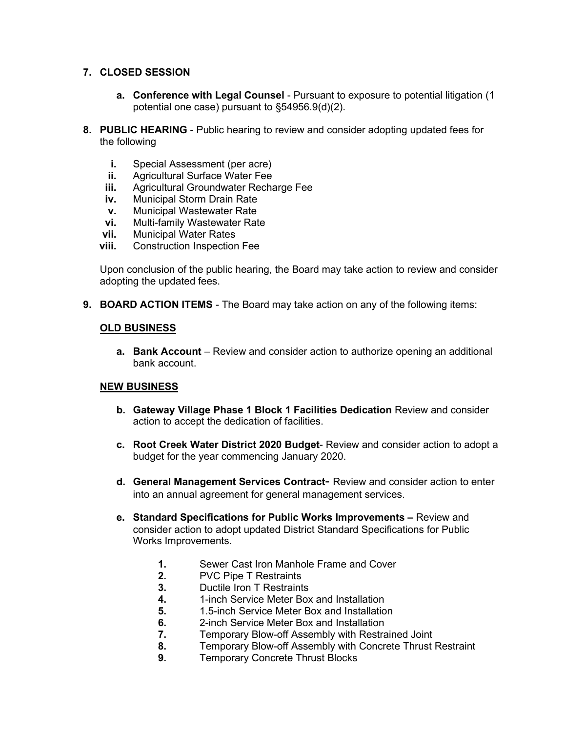### **7. CLOSED SESSION**

- **a. Conference with Legal Counsel** Pursuant to exposure to potential litigation (1 potential one case) pursuant to §54956.9(d)(2).
- **8. PUBLIC HEARING** Public hearing to review and consider adopting updated fees for the following
	- **i.** Special Assessment (per acre)
	- **ii.** Agricultural Surface Water Fee
	- **iii.** Agricultural Groundwater Recharge Fee
	- **iv.** Municipal Storm Drain Rate
	- **v.** Municipal Wastewater Rate
	- **vi.** Multi-family Wastewater Rate **vii.** Municipal Water Rates
	- **vii.** Municipal Water Rates<br>**viii.** Construction Inspection
	- **Construction Inspection Fee**

Upon conclusion of the public hearing, the Board may take action to review and consider adopting the updated fees.

**9. BOARD ACTION ITEMS** - The Board may take action on any of the following items:

#### **OLD BUSINESS**

**a. Bank Account** – Review and consider action to authorize opening an additional bank account.

## **NEW BUSINESS**

- **b. Gateway Village Phase 1 Block 1 Facilities Dedication** Review and consider action to accept the dedication of facilities.
- **c. Root Creek Water District 2020 Budget** Review and consider action to adopt a budget for the year commencing January 2020.
- **d. General Management Services Contract** Review and consider action to enter into an annual agreement for general management services.
- **e. Standard Specifications for Public Works Improvements –** Review and consider action to adopt updated District Standard Specifications for Public Works Improvements.
	- **1.** Sewer Cast Iron Manhole Frame and Cover<br>**2.** PVC Pipe T Restraints
	- **2.** PVC Pipe T Restraints
	- **3.** Ductile Iron T Restraints
	- **4.** 1-inch Service Meter Box and Installation
	- **5.** 1.5-inch Service Meter Box and Installation
	- **6.** 2-inch Service Meter Box and Installation<br>**7.** Temporary Blow-off Assembly with Restra
	- **7.** Temporary Blow-off Assembly with Restrained Joint
	- **8.** Temporary Blow-off Assembly with Concrete Thrust Restraint
	- **9.** Temporary Concrete Thrust Blocks